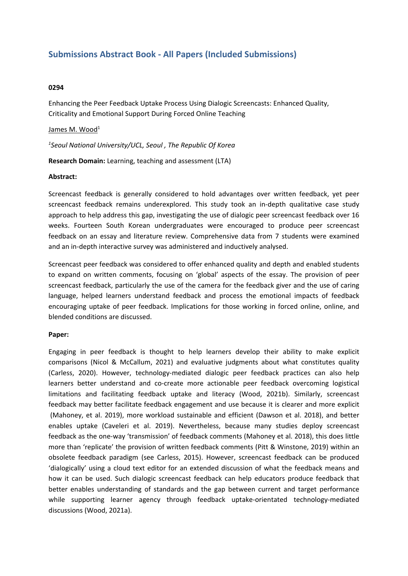# **Submissions Abstract Book - All Papers (Included Submissions)**

### **0294**

Enhancing the Peer Feedback Uptake Process Using Dialogic Screencasts: Enhanced Quality, Criticality and Emotional Support During Forced Online Teaching

#### James M. Wood<sup>1</sup>

*1 Seoul National University/UCL, Seoul , The Republic Of Korea*

**Research Domain:** Learning, teaching and assessment (LTA)

#### **Abstract:**

Screencast feedback is generally considered to hold advantages over written feedback, yet peer screencast feedback remains underexplored. This study took an in-depth qualitative case study approach to help address this gap, investigating the use of dialogic peer screencast feedback over 16 weeks. Fourteen South Korean undergraduates were encouraged to produce peer screencast feedback on an essay and literature review. Comprehensive data from 7 students were examined and an in-depth interactive survey was administered and inductively analysed.

Screencast peer feedback was considered to offer enhanced quality and depth and enabled students to expand on written comments, focusing on 'global' aspects of the essay. The provision of peer screencast feedback, particularly the use of the camera for the feedback giver and the use of caring language, helped learners understand feedback and process the emotional impacts of feedback encouraging uptake of peer feedback. Implications for those working in forced online, online, and blended conditions are discussed.

## **Paper:**

Engaging in peer feedback is thought to help learners develop their ability to make explicit comparisons (Nicol & McCallum, 2021) and evaluative judgments about what constitutes quality (Carless, 2020). However, technology-mediated dialogic peer feedback practices can also help learners better understand and co-create more actionable peer feedback overcoming logistical limitations and facilitating feedback uptake and literacy (Wood, 2021b). Similarly, screencast feedback may better facilitate feedback engagement and use because it is clearer and more explicit (Mahoney, et al. 2019), more workload sustainable and efficient (Dawson et al. 2018), and better enables uptake (Caveleri et al. 2019). Nevertheless, because many studies deploy screencast feedback as the one-way 'transmission' of feedback comments (Mahoney et al. 2018), this does little more than 'replicate' the provision of written feedback comments (Pitt & Winstone, 2019) within an obsolete feedback paradigm (see Carless, 2015). However, screencast feedback can be produced 'dialogically' using <sup>a</sup> cloud text editor for an extended discussion of what the feedback means and how it can be used. Such dialogic screencast feedback can help educators produce feedback that better enables understanding of standards and the gap between current and target performance while supporting learner agency through feedback uptake-orientated technology-mediated discussions (Wood, 2021a).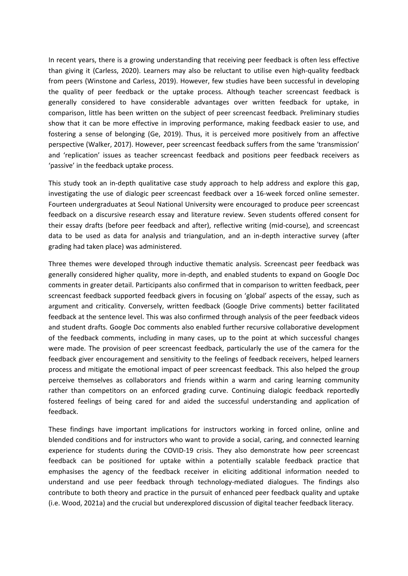In recent years, there is <sup>a</sup> growing understanding that receiving peer feedback is often less effective than giving it (Carless, 2020). Learners may also be reluctant to utilise even high-quality feedback from peers (Winstone and Carless, 2019). However, few studies have been successful in developing the quality of peer feedback or the uptake process. Although teacher screencast feedback is generally considered to have considerable advantages over written feedback for uptake, in comparison, little has been written on the subject of peer screencast feedback. Preliminary studies show that it can be more effective in improving performance, making feedback easier to use, and fostering <sup>a</sup> sense of belonging (Ge, 2019). Thus, it is perceived more positively from an affective perspective (Walker, 2017). However, peer screencast feedback suffers from the same 'transmission' and 'replication' issues as teacher screencast feedback and positions peer feedback receivers as 'passive' in the feedback uptake process.

This study took an in-depth qualitative case study approach to help address and explore this gap, investigating the use of dialogic peer screencast feedback over <sup>a</sup> 16-week forced online semester. Fourteen undergraduates at Seoul National University were encouraged to produce peer screencast feedback on <sup>a</sup> discursive research essay and literature review. Seven students offered consent for their essay drafts (before peer feedback and after), reflective writing (mid-course), and screencast data to be used as data for analysis and triangulation, and an in-depth interactive survey (after grading had taken place) was administered.

Three themes were developed through inductive thematic analysis. Screencast peer feedback was generally considered higher quality, more in-depth, and enabled students to expand on Google Doc comments in greater detail. Participants also confirmed that in comparison to written feedback, peer screencast feedback supported feedback givers in focusing on 'global' aspects of the essay, such as argument and criticality. Conversely, written feedback (Google Drive comments) better facilitated feedback at the sentence level. This was also confirmed through analysis of the peer feedback videos and student drafts. Google Doc comments also enabled further recursive collaborative development of the feedback comments, including in many cases, up to the point at which successful changes were made. The provision of peer screencast feedback, particularly the use of the camera for the feedback giver encouragement and sensitivity to the feelings of feedback receivers, helped learners process and mitigate the emotional impact of peer screencast feedback. This also helped the group perceive themselves as collaborators and friends within <sup>a</sup> warm and caring learning community rather than competitors on an enforced grading curve. Continuing dialogic feedback reportedly fostered feelings of being cared for and aided the successful understanding and application of feedback.

These findings have important implications for instructors working in forced online, online and blended conditions and for instructors who want to provide <sup>a</sup> social, caring, and connected learning experience for students during the COVID-19 crisis. They also demonstrate how peer screencast feedback can be positioned for uptake within <sup>a</sup> potentially scalable feedback practice that emphasises the agency of the feedback receiver in eliciting additional information needed to understand and use peer feedback through technology-mediated dialogues. The findings also contribute to both theory and practice in the pursuit of enhanced peer feedback quality and uptake (i.e. Wood, 2021a) and the crucial but underexplored discussion of digital teacher feedback literacy.